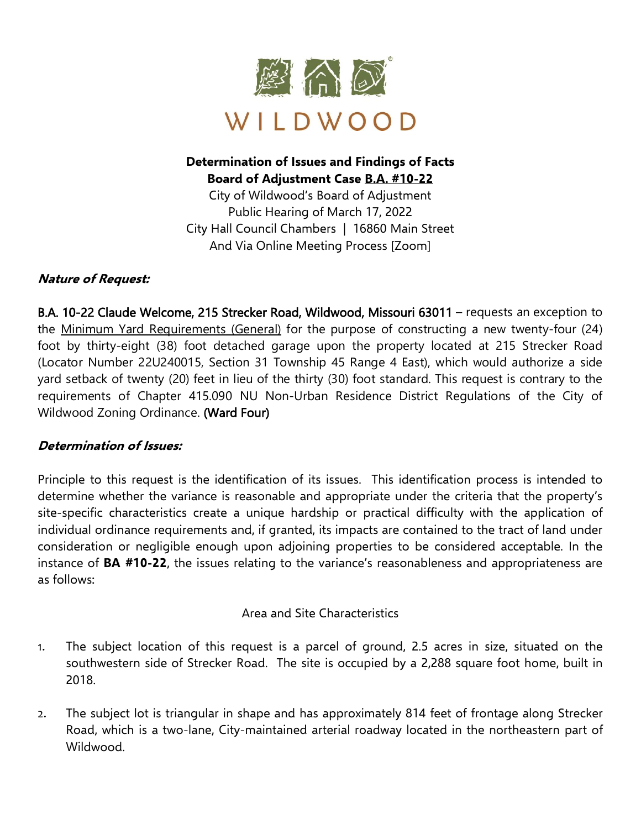

# **Determination of Issues and Findings of Facts Board of Adjustment Case B.A. #10-22**

City of Wildwood's Board of Adjustment Public Hearing of March 17, 2022 City Hall Council Chambers | 16860 Main Street And Via Online Meeting Process [Zoom]

## **Nature of Request:**

B.A. 10-22 Claude Welcome, 215 Strecker Road, Wildwood, Missouri 63011 – requests an exception to the Minimum Yard Requirements (General) for the purpose of constructing a new twenty-four (24) foot by thirty-eight (38) foot detached garage upon the property located at 215 Strecker Road (Locator Number 22U240015, Section 31 Township 45 Range 4 East), which would authorize a side yard setback of twenty (20) feet in lieu of the thirty (30) foot standard. This request is contrary to the requirements of Chapter 415.090 NU Non-Urban Residence District Regulations of the City of Wildwood Zoning Ordinance. (Ward Four)

## **Determination of Issues:**

Principle to this request is the identification of its issues. This identification process is intended to determine whether the variance is reasonable and appropriate under the criteria that the property's site-specific characteristics create a unique hardship or practical difficulty with the application of individual ordinance requirements and, if granted, its impacts are contained to the tract of land under consideration or negligible enough upon adjoining properties to be considered acceptable. In the instance of **BA #10-22**, the issues relating to the variance's reasonableness and appropriateness are as follows:

#### Area and Site Characteristics

- 1. The subject location of this request is a parcel of ground, 2.5 acres in size, situated on the southwestern side of Strecker Road. The site is occupied by a 2,288 square foot home, built in 2018.
- 2. The subject lot is triangular in shape and has approximately 814 feet of frontage along Strecker Road, which is a two-lane, City-maintained arterial roadway located in the northeastern part of Wildwood.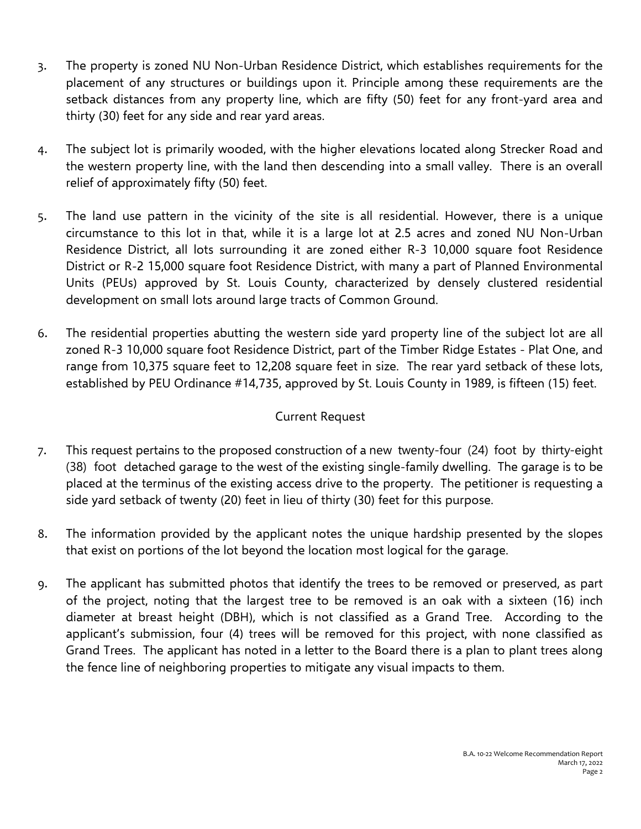- 3. The property is zoned NU Non-Urban Residence District, which establishes requirements for the placement of any structures or buildings upon it. Principle among these requirements are the setback distances from any property line, which are fifty (50) feet for any front-yard area and thirty (30) feet for any side and rear yard areas.
- 4. The subject lot is primarily wooded, with the higher elevations located along Strecker Road and the western property line, with the land then descending into a small valley. There is an overall relief of approximately fifty (50) feet.
- 5. The land use pattern in the vicinity of the site is all residential. However, there is a unique circumstance to this lot in that, while it is a large lot at 2.5 acres and zoned NU Non-Urban Residence District, all lots surrounding it are zoned either R-3 10,000 square foot Residence District or R-2 15,000 square foot Residence District, with many a part of Planned Environmental Units (PEUs) approved by St. Louis County, characterized by densely clustered residential development on small lots around large tracts of Common Ground.
- 6. The residential properties abutting the western side yard property line of the subject lot are all zoned R-3 10,000 square foot Residence District, part of the Timber Ridge Estates - Plat One, and range from 10,375 square feet to 12,208 square feet in size. The rear yard setback of these lots, established by PEU Ordinance #14,735, approved by St. Louis County in 1989, is fifteen (15) feet.

# Current Request

- 7. This request pertains to the proposed construction of a new twenty-four (24) foot by thirty-eight (38) foot detached garage to the west of the existing single-family dwelling. The garage is to be placed at the terminus of the existing access drive to the property. The petitioner is requesting a side yard setback of twenty (20) feet in lieu of thirty (30) feet for this purpose.
- 8. The information provided by the applicant notes the unique hardship presented by the slopes that exist on portions of the lot beyond the location most logical for the garage.
- 9. The applicant has submitted photos that identify the trees to be removed or preserved, as part of the project, noting that the largest tree to be removed is an oak with a sixteen (16) inch diameter at breast height (DBH), which is not classified as a Grand Tree. According to the applicant's submission, four (4) trees will be removed for this project, with none classified as Grand Trees. The applicant has noted in a letter to the Board there is a plan to plant trees along the fence line of neighboring properties to mitigate any visual impacts to them.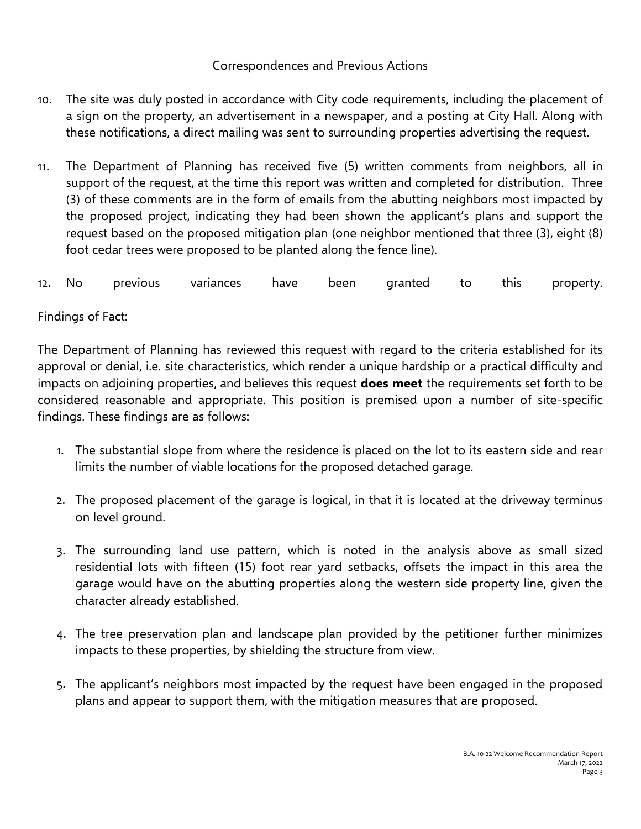## Correspondences and Previous Actions

- 10. The site was duly posted in accordance with City code requirements, including the placement of a sign on the property, an advertisement in a newspaper, and a posting at City Hall. Along with these notifications, a direct mailing was sent to surrounding properties advertising the request.
- 11. The Department of Planning has received five (5) written comments from neighbors, all in support of the request, at the time this report was written and completed for distribution. Three (3) of these comments are in the form of emails from the abutting neighbors most impacted by the proposed project, indicating they had been shown the applicant's plans and support the request based on the proposed mitigation plan (one neighbor mentioned that three (3), eight (8) foot cedar trees were proposed to be planted along the fence line).

12. No previous variances have been granted to this property.

## Findings of Fact:

The Department of Planning has reviewed this request with regard to the criteria established for its approval or denial, i.e. site characteristics, which render a unique hardship or a practical difficulty and impacts on adjoining properties, and believes this request **does meet** the requirements set forth to be considered reasonable and appropriate. This position is premised upon a number of site-specific findings. These findings are as follows:

- 1. The substantial slope from where the residence is placed on the lot to its eastern side and rear limits the number of viable locations for the proposed detached garage.
- 2. The proposed placement of the garage is logical, in that it is located at the driveway terminus on level ground.
- 3. The surrounding land use pattern, which is noted in the analysis above as small sized residential lots with fifteen (15) foot rear yard setbacks, offsets the impact in this area the garage would have on the abutting properties along the western side property line, given the character already established.
- 4. The tree preservation plan and landscape plan provided by the petitioner further minimizes impacts to these properties, by shielding the structure from view.
- 5. The applicant's neighbors most impacted by the request have been engaged in the proposed plans and appear to support them, with the mitigation measures that are proposed.